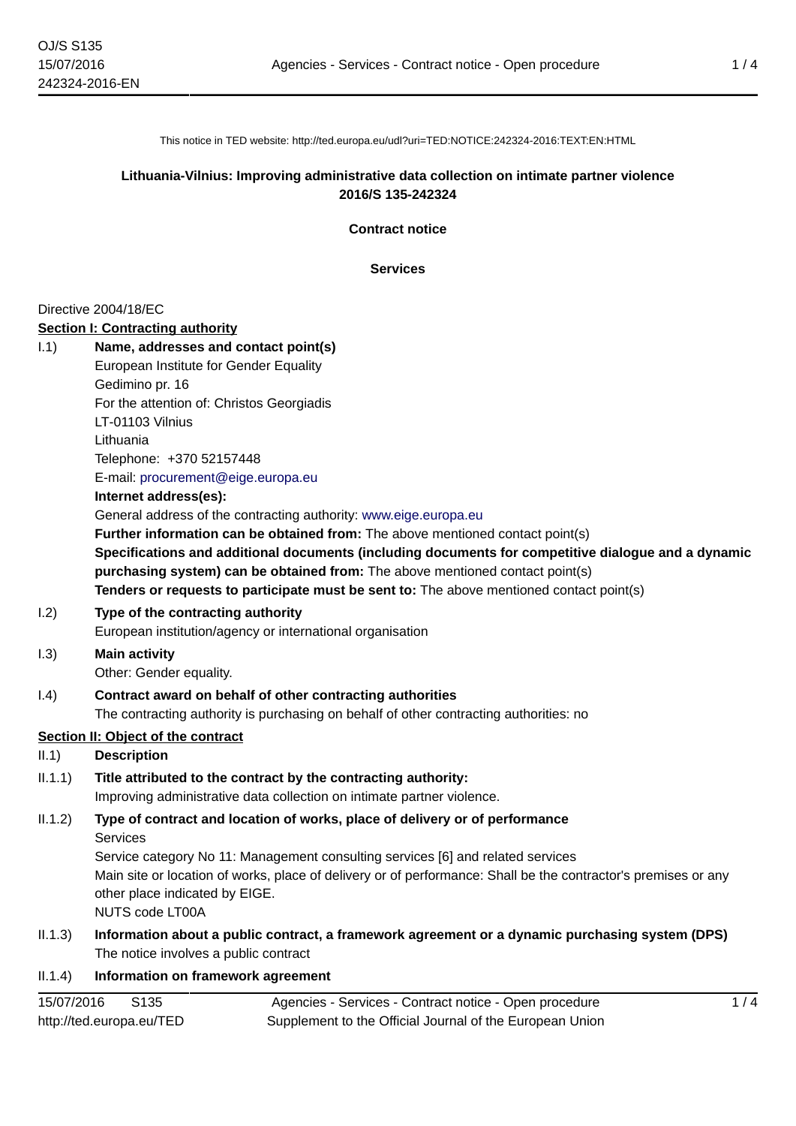This notice in TED website: http://ted.europa.eu/udl?uri=TED:NOTICE:242324-2016:TEXT:EN:HTML

## **Lithuania-Vilnius: Improving administrative data collection on intimate partner violence 2016/S 135-242324**

**Contract notice**

**Services**

### Directive 2004/18/EC

http://ted.europa.eu/TED

### **Section I: Contracting authority**

| 1.1)       | Name, addresses and contact point(s)                                                                                                                                                 |
|------------|--------------------------------------------------------------------------------------------------------------------------------------------------------------------------------------|
|            | European Institute for Gender Equality                                                                                                                                               |
|            | Gedimino pr. 16                                                                                                                                                                      |
|            | For the attention of: Christos Georgiadis                                                                                                                                            |
|            | LT-01103 Vilnius                                                                                                                                                                     |
|            | Lithuania                                                                                                                                                                            |
|            | Telephone: +370 52157448                                                                                                                                                             |
|            | E-mail: procurement@eige.europa.eu                                                                                                                                                   |
|            | Internet address(es):                                                                                                                                                                |
|            | General address of the contracting authority: www.eige.europa.eu                                                                                                                     |
|            | Further information can be obtained from: The above mentioned contact point(s)                                                                                                       |
|            | Specifications and additional documents (including documents for competitive dialogue and a dynamic<br>purchasing system) can be obtained from: The above mentioned contact point(s) |
|            | Tenders or requests to participate must be sent to: The above mentioned contact point(s)                                                                                             |
| 1.2)       | Type of the contracting authority                                                                                                                                                    |
|            | European institution/agency or international organisation                                                                                                                            |
| 1.3)       | <b>Main activity</b>                                                                                                                                                                 |
|            | Other: Gender equality.                                                                                                                                                              |
| (0.4)      | Contract award on behalf of other contracting authorities                                                                                                                            |
|            | The contracting authority is purchasing on behalf of other contracting authorities: no                                                                                               |
|            | <b>Section II: Object of the contract</b>                                                                                                                                            |
| II.1)      | <b>Description</b>                                                                                                                                                                   |
| II.1.1)    | Title attributed to the contract by the contracting authority:                                                                                                                       |
|            | Improving administrative data collection on intimate partner violence.                                                                                                               |
| II.1.2)    | Type of contract and location of works, place of delivery or of performance                                                                                                          |
|            | <b>Services</b>                                                                                                                                                                      |
|            | Service category No 11: Management consulting services [6] and related services                                                                                                      |
|            | Main site or location of works, place of delivery or of performance: Shall be the contractor's premises or any                                                                       |
|            | other place indicated by EIGE.                                                                                                                                                       |
|            | <b>NUTS code LT00A</b>                                                                                                                                                               |
| II.1.3)    | Information about a public contract, a framework agreement or a dynamic purchasing system (DPS)                                                                                      |
|            | The notice involves a public contract                                                                                                                                                |
| II.1.4)    | Information on framework agreement                                                                                                                                                   |
| 15/07/2016 | 1/4<br>S135<br>Agencies - Services - Contract notice - Open procedure                                                                                                                |

Supplement to the Official Journal of the European Union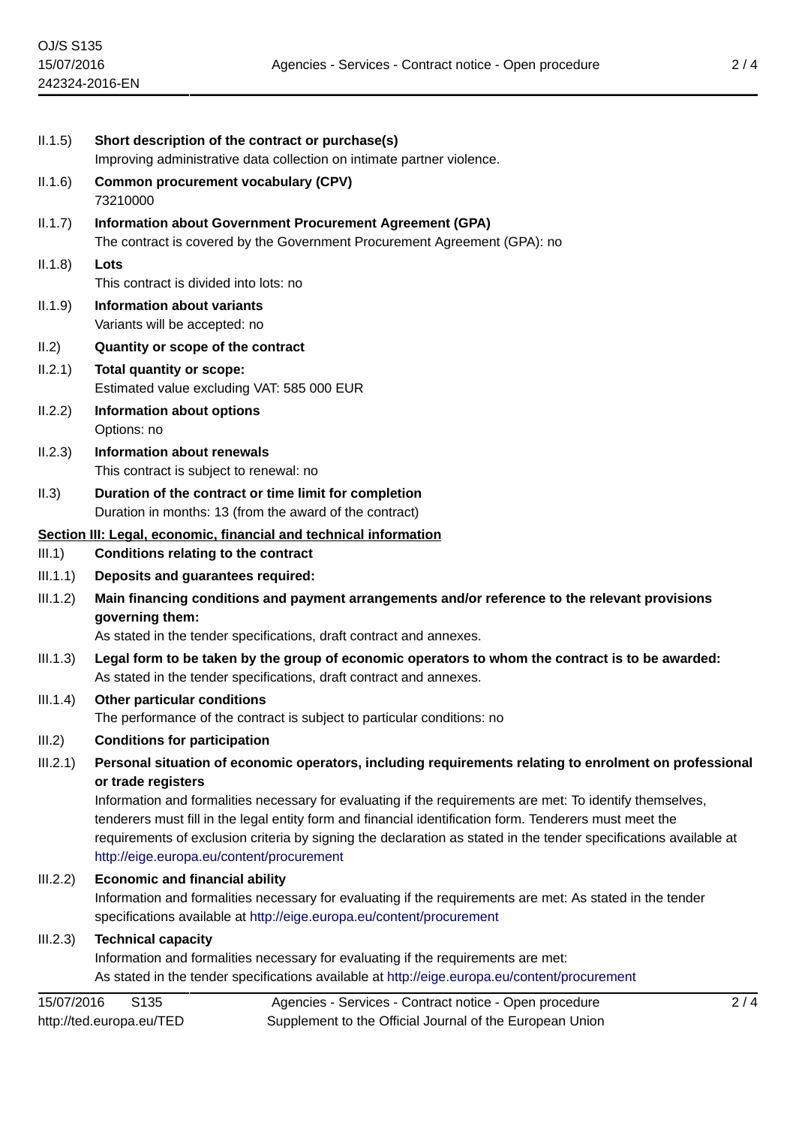|                    | Information and formalities necessary for evaluating if the requirements are met:<br>As stated in the tender specifications available at http://eige.europa.eu/content/procurement                                                                                                                                                                                                                           |
|--------------------|--------------------------------------------------------------------------------------------------------------------------------------------------------------------------------------------------------------------------------------------------------------------------------------------------------------------------------------------------------------------------------------------------------------|
| III.2.3)           | <b>Technical capacity</b>                                                                                                                                                                                                                                                                                                                                                                                    |
| III.2.2)           | <b>Economic and financial ability</b><br>Information and formalities necessary for evaluating if the requirements are met: As stated in the tender<br>specifications available at http://eige.europa.eu/content/procurement                                                                                                                                                                                  |
|                    | or trade registers<br>Information and formalities necessary for evaluating if the requirements are met: To identify themselves,<br>tenderers must fill in the legal entity form and financial identification form. Tenderers must meet the<br>requirements of exclusion criteria by signing the declaration as stated in the tender specifications available at<br>http://eige.europa.eu/content/procurement |
| III.2)<br>III.2.1) | Personal situation of economic operators, including requirements relating to enrolment on professional                                                                                                                                                                                                                                                                                                       |
|                    | The performance of the contract is subject to particular conditions: no<br><b>Conditions for participation</b>                                                                                                                                                                                                                                                                                               |
| III.1.4)           | As stated in the tender specifications, draft contract and annexes.<br>Other particular conditions                                                                                                                                                                                                                                                                                                           |
| III.1.3)           | Legal form to be taken by the group of economic operators to whom the contract is to be awarded:                                                                                                                                                                                                                                                                                                             |
|                    | governing them:<br>As stated in the tender specifications, draft contract and annexes.                                                                                                                                                                                                                                                                                                                       |
| III.1.2)           | Main financing conditions and payment arrangements and/or reference to the relevant provisions                                                                                                                                                                                                                                                                                                               |
| III.1)<br>III.1.1) | <b>Conditions relating to the contract</b><br>Deposits and guarantees required:                                                                                                                                                                                                                                                                                                                              |
|                    | Section III: Legal, economic, financial and technical information                                                                                                                                                                                                                                                                                                                                            |
| II.3)              | Duration of the contract or time limit for completion<br>Duration in months: 13 (from the award of the contract)                                                                                                                                                                                                                                                                                             |
| II.2.3)            | <b>Information about renewals</b><br>This contract is subject to renewal: no                                                                                                                                                                                                                                                                                                                                 |
| II.2.2)            | <b>Information about options</b><br>Options: no                                                                                                                                                                                                                                                                                                                                                              |
| II.2.1)            | <b>Total quantity or scope:</b><br>Estimated value excluding VAT: 585 000 EUR                                                                                                                                                                                                                                                                                                                                |
| II.2)              | Quantity or scope of the contract                                                                                                                                                                                                                                                                                                                                                                            |
| II.1.9)            | <b>Information about variants</b><br>Variants will be accepted: no                                                                                                                                                                                                                                                                                                                                           |
| II.1.8)            | Lots<br>This contract is divided into lots: no                                                                                                                                                                                                                                                                                                                                                               |
| II.1.7)            | <b>Information about Government Procurement Agreement (GPA)</b><br>The contract is covered by the Government Procurement Agreement (GPA): no                                                                                                                                                                                                                                                                 |
| II.1.6)            | <b>Common procurement vocabulary (CPV)</b><br>73210000                                                                                                                                                                                                                                                                                                                                                       |
| II.1.5)            | Short description of the contract or purchase(s)<br>Improving administrative data collection on intimate partner violence.                                                                                                                                                                                                                                                                                   |
|                    |                                                                                                                                                                                                                                                                                                                                                                                                              |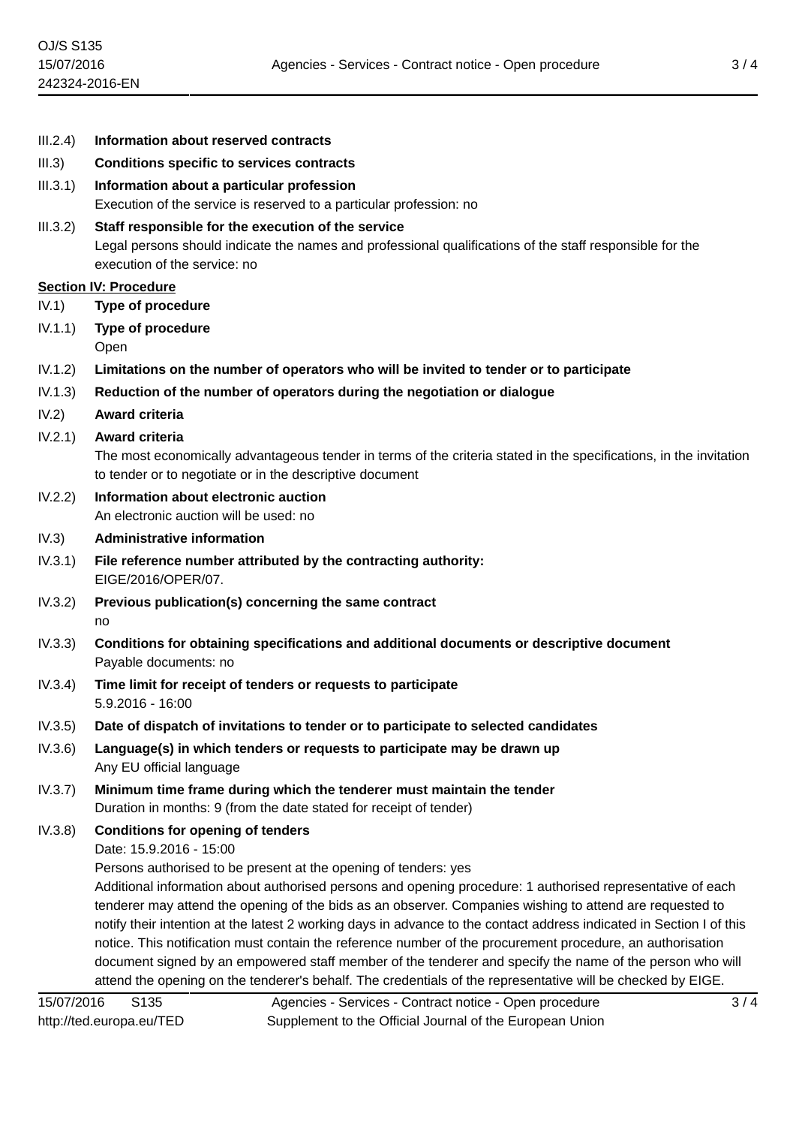| III.2.4) | Information about reserved contracts                                                                                                                                                                                                                                                                                                                                                                                                                                                                                                                                                                                                                                                                               |
|----------|--------------------------------------------------------------------------------------------------------------------------------------------------------------------------------------------------------------------------------------------------------------------------------------------------------------------------------------------------------------------------------------------------------------------------------------------------------------------------------------------------------------------------------------------------------------------------------------------------------------------------------------------------------------------------------------------------------------------|
| III.3)   | <b>Conditions specific to services contracts</b>                                                                                                                                                                                                                                                                                                                                                                                                                                                                                                                                                                                                                                                                   |
| III.3.1) | Information about a particular profession<br>Execution of the service is reserved to a particular profession: no                                                                                                                                                                                                                                                                                                                                                                                                                                                                                                                                                                                                   |
| III.3.2) | Staff responsible for the execution of the service<br>Legal persons should indicate the names and professional qualifications of the staff responsible for the<br>execution of the service: no                                                                                                                                                                                                                                                                                                                                                                                                                                                                                                                     |
|          | <b>Section IV: Procedure</b>                                                                                                                                                                                                                                                                                                                                                                                                                                                                                                                                                                                                                                                                                       |
| IV.1)    | <b>Type of procedure</b>                                                                                                                                                                                                                                                                                                                                                                                                                                                                                                                                                                                                                                                                                           |
| IV.1.1)  | Type of procedure                                                                                                                                                                                                                                                                                                                                                                                                                                                                                                                                                                                                                                                                                                  |
|          | Open                                                                                                                                                                                                                                                                                                                                                                                                                                                                                                                                                                                                                                                                                                               |
| IV.1.2)  | Limitations on the number of operators who will be invited to tender or to participate                                                                                                                                                                                                                                                                                                                                                                                                                                                                                                                                                                                                                             |
| IV.1.3)  | Reduction of the number of operators during the negotiation or dialogue                                                                                                                                                                                                                                                                                                                                                                                                                                                                                                                                                                                                                                            |
| IV.2)    | Award criteria                                                                                                                                                                                                                                                                                                                                                                                                                                                                                                                                                                                                                                                                                                     |
| IV.2.1)  | Award criteria<br>The most economically advantageous tender in terms of the criteria stated in the specifications, in the invitation<br>to tender or to negotiate or in the descriptive document                                                                                                                                                                                                                                                                                                                                                                                                                                                                                                                   |
| IV.2.2)  | Information about electronic auction<br>An electronic auction will be used: no                                                                                                                                                                                                                                                                                                                                                                                                                                                                                                                                                                                                                                     |
| IV.3)    | <b>Administrative information</b>                                                                                                                                                                                                                                                                                                                                                                                                                                                                                                                                                                                                                                                                                  |
| IV.3.1)  | File reference number attributed by the contracting authority:<br>EIGE/2016/OPER/07.                                                                                                                                                                                                                                                                                                                                                                                                                                                                                                                                                                                                                               |
| IV.3.2)  | Previous publication(s) concerning the same contract<br>no                                                                                                                                                                                                                                                                                                                                                                                                                                                                                                                                                                                                                                                         |
| IV.3.3)  | Conditions for obtaining specifications and additional documents or descriptive document<br>Payable documents: no                                                                                                                                                                                                                                                                                                                                                                                                                                                                                                                                                                                                  |
| IV.3.4)  | Time limit for receipt of tenders or requests to participate<br>$5.9.2016 - 16:00$                                                                                                                                                                                                                                                                                                                                                                                                                                                                                                                                                                                                                                 |
| IV.3.5)  | Date of dispatch of invitations to tender or to participate to selected candidates                                                                                                                                                                                                                                                                                                                                                                                                                                                                                                                                                                                                                                 |
| IV.3.6)  | Language(s) in which tenders or requests to participate may be drawn up<br>Any EU official language                                                                                                                                                                                                                                                                                                                                                                                                                                                                                                                                                                                                                |
| IV.3.7)  | Minimum time frame during which the tenderer must maintain the tender<br>Duration in months: 9 (from the date stated for receipt of tender)                                                                                                                                                                                                                                                                                                                                                                                                                                                                                                                                                                        |
| IV.3.8)  | <b>Conditions for opening of tenders</b><br>Date: 15.9.2016 - 15:00<br>Persons authorised to be present at the opening of tenders: yes<br>Additional information about authorised persons and opening procedure: 1 authorised representative of each<br>tenderer may attend the opening of the bids as an observer. Companies wishing to attend are requested to<br>notify their intention at the latest 2 working days in advance to the contact address indicated in Section I of this<br>notice. This notification must contain the reference number of the procurement procedure, an authorisation<br>document signed by an empowered staff member of the tenderer and specify the name of the person who will |
|          | attend the opening on the tenderer's behalf. The credentials of the representative will be checked by EIGE.                                                                                                                                                                                                                                                                                                                                                                                                                                                                                                                                                                                                        |

15/07/2016 S135 http://ted.europa.eu/TED